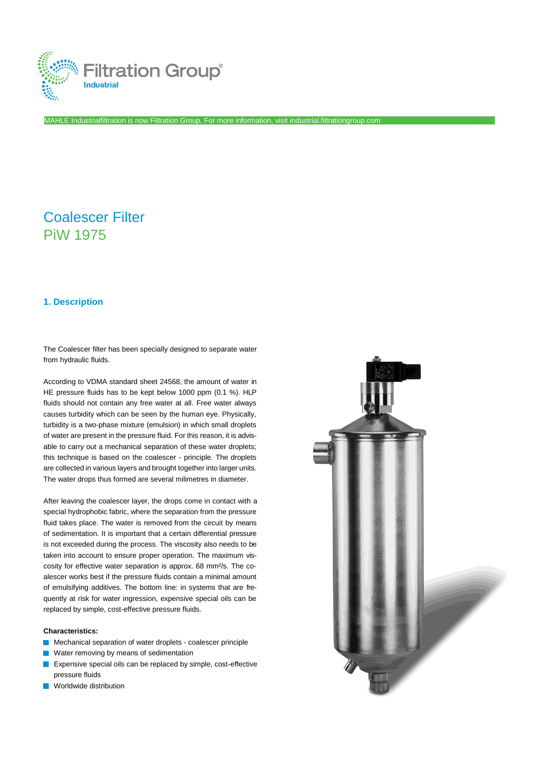

MAHLE Industrialfiltration is now Filtration Group. For more information, visi[t industrial.filtrationgroup.com](http://www.fluid.filtrationgroup.com/)

# Coalescer Filter PiW 1975

## **1. Description**

The Coalescer filter has been specially designed to separate water from hydraulic fluids.

According to VDMA standard sheet 24568, the amount of water in HE pressure fluids has to be kept below 1000 ppm (0.1 %). HLP fluids should not contain any free water at all. Free water always causes turbidity which can be seen by the human eye. Physically, turbidity is a two-phase mixture (emulsion) in which small droplets of water are present in the pressure fluid. For this reason, it is advisable to carry out a mechanical separation of these water droplets; this technique is based on the coalescer - principle. The droplets are collected in various layers and brought together into larger units. The water drops thus formed are several milimetres in diameter.

After leaving the coalescer layer, the drops come in contact with a special hydrophobic fabric, where the separation from the pressure fluid takes place. The water is removed from the circuit by means of sedimentation. It is important that a certain differential pressure is not exceeded during the process. The viscosity also needs to be taken into account to ensure proper operation. The maximum viscosity for effective water separation is approx. 68 mm²/s. The coalescer works best if the pressure fluids contain a minimal amount of emulsifying additives. The bottom line: in systems that are frequently at risk for water ingression, expensive special oils can be replaced by simple, cost-effective pressure fluids.

#### **Characteristics:**

- Mechanical separation of water droplets coalescer principle
- **Water removing by means of sedimentation**
- **EXPENSIVE SPECIAL OILS CAN be replaced by simple, cost-effective** pressure fluids
- **N** Worldwide distribution

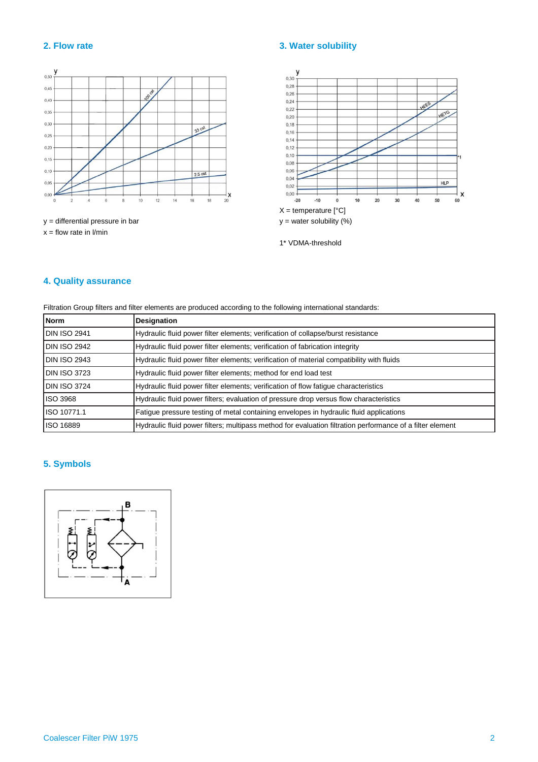

 $x =$  flow rate in  $1/m$ in

# **2. Flow rate 3. Water solubility**



1\* VDMA-threshold

# **4. Quality assurance**

Filtration Group filters and filter elements are produced according to the following international standards:

| Norm         | <b>Designation</b>                                                                                        |  |
|--------------|-----------------------------------------------------------------------------------------------------------|--|
| DIN ISO 2941 | Hydraulic fluid power filter elements; verification of collapse/burst resistance                          |  |
| DIN ISO 2942 | Hydraulic fluid power filter elements; verification of fabrication integrity                              |  |
| DIN ISO 2943 | Hydraulic fluid power filter elements; verification of material compatibility with fluids                 |  |
| DIN ISO 3723 | Hydraulic fluid power filter elements; method for end load test                                           |  |
| DIN ISO 3724 | Hydraulic fluid power filter elements; verification of flow fatigue characteristics                       |  |
| ISO 3968     | Hydraulic fluid power filters: evaluation of pressure drop versus flow characteristics                    |  |
| ISO 10771.1  | Fatigue pressure testing of metal containing envelopes in hydraulic fluid applications                    |  |
| ISO 16889    | Hydraulic fluid power filters; multipass method for evaluation filtration performance of a filter element |  |

# **5. Symbols**

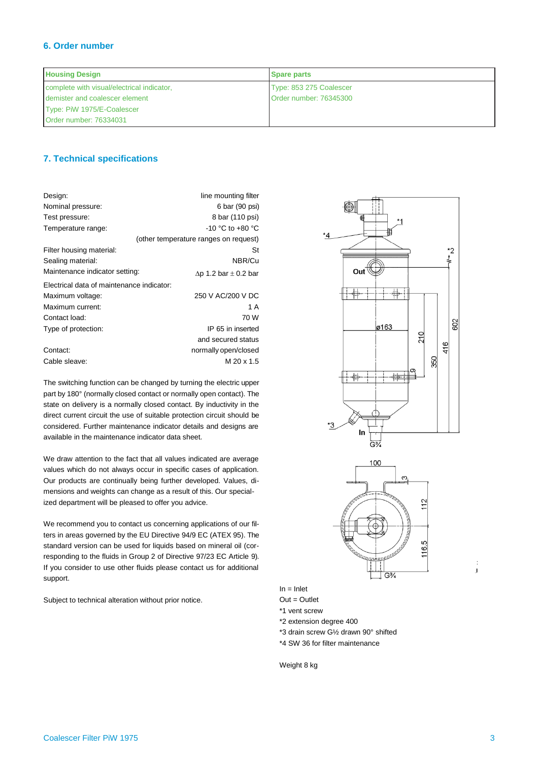# **6. Order number**

| <b>Housing Design</b>                      | <b>Spare parts</b>      |
|--------------------------------------------|-------------------------|
| complete with visual/electrical indicator, | Type: 853 275 Coalescer |
| I demister and coalescer element           | Order number: 76345300  |
| Type: PiW 1975/E-Coalescer                 |                         |
| Order number: 76334031                     |                         |

# **7. Technical specifications**

| Design:                                   | line mounting filter                  |  |  |
|-------------------------------------------|---------------------------------------|--|--|
| Nominal pressure:                         | 6 bar (90 psi)                        |  |  |
| Test pressure:                            | 8 bar (110 psi)                       |  |  |
| Temperature range:                        | $-10$ °C to $+80$ °C                  |  |  |
|                                           | (other temperature ranges on request) |  |  |
| Filter housing material:                  | St                                    |  |  |
| Sealing material:                         | NBR/Cu                                |  |  |
| Maintenance indicator setting:            | $\Delta p$ 1.2 bar $\pm$ 0.2 bar      |  |  |
| Electrical data of maintenance indicator: |                                       |  |  |
| Maximum voltage:                          | 250 V AC/200 V DC                     |  |  |
| Maximum current:                          | 1 A                                   |  |  |
| Contact load:                             | 70 W                                  |  |  |
| Type of protection:                       | IP 65 in inserted                     |  |  |
|                                           | and secured status                    |  |  |
| Contact:                                  | normally open/closed                  |  |  |
| Cable sleave:                             | M 20 x 1.5                            |  |  |

The switching function can be changed by turning the electric upper part by 180° (normally closed contact or normally open contact). The state on delivery is a normally closed contact. By inductivity in the direct current circuit the use of suitable protection circuit should be considered. Further maintenance indicator details and designs are available in the maintenance indicator data sheet.

We draw attention to the fact that all values indicated are average values which do not always occur in specific cases of application. Our products are continually being further developed. Values, dimensions and weights can change as a result of this. Our specialized department will be pleased to offer you advice.

We recommend you to contact us concerning applications of our filters in areas governed by the EU Directive 94/9 EC (ATEX 95). The standard version can be used for liquids based on mineral oil (corresponding to the fluids in Group 2 of Directive 97/23 EC Article 9). If you consider to use other fluids please contact us for additional support.

Subject to technical alteration without prior notice.



Out = Outlet \*1 vent screw

In = Inlet

\*2 extension degree 400

- \*3 drain screw G½ drawn 90° shifted
- \*4 SW 36 for filter maintenance

Weight 8 kg

 $\overline{1}$